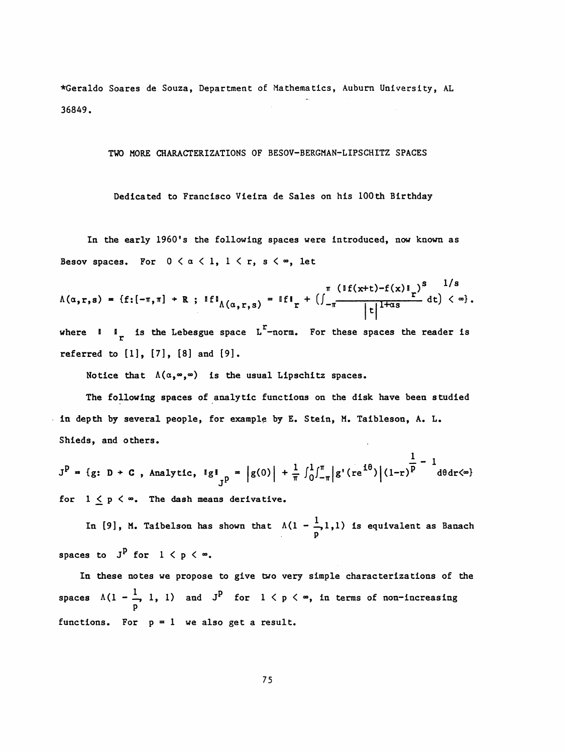♦Geraldo Soares de Souza, Department of Mathematics, Auburn University, AL 36849.

## TWO MORE CHARACTERIZATIONS OF BESOV-BERGMAN-LIPSCHITZ SPACES

Dedicated to Francisco Vieira de Sales on his 100th Birthday

In the early 1960's the following spaces were introduced, now known as Besov spaces. For  $0 < \alpha < 1$ ,  $1 < r$ ,  $s < \infty$ , let

$$
\Lambda(\alpha,r,s) = \{f: [-\pi,\pi] \to R \; ; \; \mathbb{I}f\mathbb{I}_{\Lambda(\alpha,r,s)} = \mathbb{I}f\mathbb{I}_r + \left(\int_{-\pi}^{\pi} \frac{(\mathbb{I}f(x+t) - f(x)\mathbb{I}_r)^s}{|t|^{1+\alpha s}} dt\right) < \infty\}.
$$

where  $1 \tImes$  is the Lebesgue space L<sup>r</sup>-norm. For these spaces the reader is referred to  $[1]$ ,  $[7]$ ,  $[8]$  and  $[9]$ .

Notice that  $\Lambda(\alpha, \infty, \infty)$  is the usual Lipschitz spaces.

 The following spaces of analytic functions on the disk have been studied in depth by several people, for example by E. Stein, M. Taibleson, A. L. Shieds, and others.

 $\frac{1}{2} - 1$  $J_p = \frac{1}{2}$  ,  $\frac{1}{2}$  ,  $\frac{1}{2}$  ,  $\frac{1}{2}$  ,  $\frac{1}{2}$  ,  $\frac{1}{2}$  ,  $\frac{1}{2}$  ,  $\frac{1}{2}$  ,  $\frac{1}{2}$  ,  $\frac{1}{2}$  ,  $\frac{1}{2}$  ,  $\frac{1}{2}$  ,  $\frac{1}{2}$  ,  $\frac{1}{2}$  ,  $\frac{1}{2}$  ,  $\frac{1}{2}$  ,  $\frac{1}{2}$  ,  $\frac{1}{2}$  ,  $\$ for  $1 \leq p \leq \infty$ . The dash means derivative.

In [9], M. Taibelson has shown that  $\Lambda(1-\frac{1}{p}1,1)$  is equivalent as Banach spaces to  $J^P$  for  $1 \lt p \lt \infty$ .

 In these notes we propose to give two very simple characterizations of the spaces  $\Lambda(1 - \frac{1}{p}, 1, 1)$  and  $J^P$  for  $1 \leq p \leq \infty$ , in terms of non-increasing functions. For  $p = 1$  we also get a result.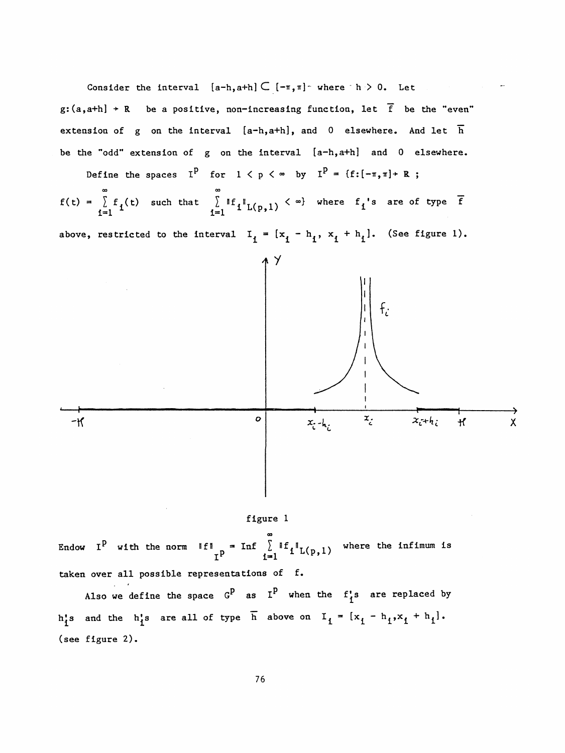Consider the interval  $[a-h, a+h] \subset [-\pi, \pi]$  where  $h > 0$ . Let g:  $(a, a+h]$  + R be a positive, non-increasing function, let  $\overline{f}$  be the "even" extension of g on the interval  $[a-h,a+h]$ , and 0 elsewhere. And let  $\overline{h}$  be the "odd" extension of g on the interval [a-h,a+h] and 0 elsewhere. Consider the interval  $[a-h, a+h] \subset [-\pi, \pi]$  where  $h > 0$ . Let<br>  $g:(a, a+h) + R$  be a positive, non-increasing function, let  $\overline{f}$  be the "even"<br>
extension of g on the interval  $[a-h, a+h]$ , and 0 elsewhere. And let  $\overline{h}$ <br>
be the

Define the spaces I<sup>P</sup> for  $1 \lt p \lt \infty$  by I<sup>P</sup> = {f: $[-\pi, \pi] \gt R$  ; ine the spaces  $I^P$  fo<br>  $\sum_{n=0}^{\infty}$ 

above, restricted to the interval  $I_i = [x_i - h_i, x_i + h_i]$ . (See figure 1).





 OO Endow I<sup>P</sup> with the norm  $\|f\|_{n} = \text{Inf} \left[ \sum_{i=1}^{\infty} \|f_i\|_{L(n,1)} \right]$  where the infimum is  $I<sup>p</sup>$  i=l  $I<sup>L</sup>(p,1)$ taken over all possible representations of f.

Also we define the space  $G^P$  as  $I^P$  when the  $f_1$ 's are replaced by h<sup>1</sup><sub>1</sub>'s and the h<sup>1</sup><sub>1</sub>'s are all of type  $\overline{h}$  above on  $I_i = [x_i - h_i, x_i + h_i].$ (see figure 2).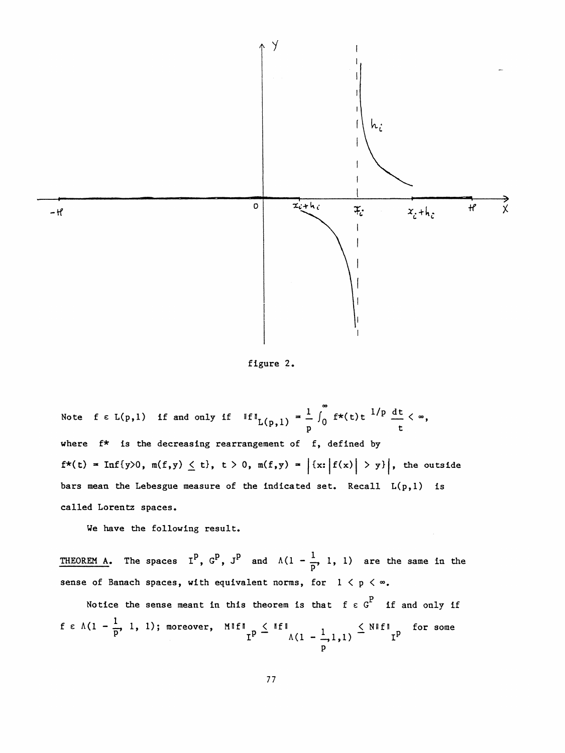

figure 2.

Note  $f \in L(p,1)$  if and only if  $\|f\|_{L(p,1)} = \frac{1}{p} \int_0^{\infty} f^{*}(t) t^{1/p} dt < \infty$ , where f\* is the decreasing rearrangement of f, defined by  $f^{\star}(t) = \text{Inf}\{y>0, m(f,y) \leq t\}, t > 0, m(f,y) = |{x: |f(x)| > y}|,$  the outside bars mean the Lebesgue measure of the indicated set. Recall  $L(p,1)$  is called Lorentz spaces.

We have the following result.

THEOREM A. The spaces  $I^P$ ,  $G^P$ ,  $J^P$  and  $\Lambda(1-\frac{1}{p}, 1, 1)$  are the same in the sense of Banach spaces, with equivalent norms, for  $1 < p < \infty$ .

Notice the sense meant in this theorem is that  $f \in G<sup>P</sup>$  if and only if  $f \in \Lambda(1 - \frac{1}{p}, 1, 1)$ ; moreover,  $M||f||_T^p \leq ||f||_T$   $\Lambda(1 - \frac{1}{p}, 1, 1) \leq N||f||_T^p$  for some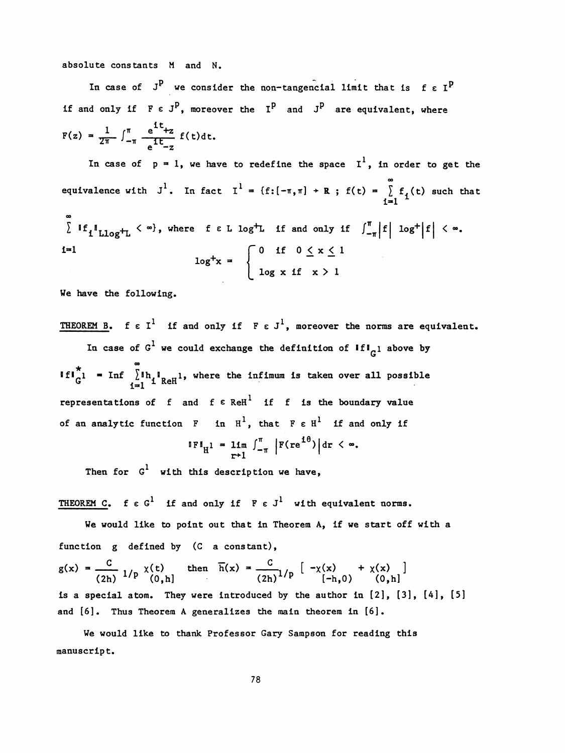absolute constants M and N.

In case of  $J^P$  we consider the non-tangencial limit that is f  $\epsilon I^P$ if and only if  $F \in J^P$ , moreover the  $I^P$  and  $J^P$  are equivalent, where  $F(z) = \frac{1}{2\pi} \int_{-\pi}^{\pi} \frac{e^{z} + z}{e^{z}} f(t) dt.$ 

In case of  $p = 1$ , we have to redefine the space  $I^1$ , in order to get the 00 equivalence with J<sup>1</sup>. In fact I<sup>1</sup> = {f:[- $\pi$ , $\pi$ ] + R ; f(t) =  $\int_{1}^{1} f_1(t)$  such that 1=1 1

 CO  $\mathcal{L}$  "I Llog<sub>4</sub>" if  $\mathcal{L}$  is an extracted f e L  $\mathcal{L}$  is and only if  $\mathcal{L}$ <sub>1</sub>  $\mathcal{L}$   $\mathcal{L}$  $\begin{cases} 1 \text{ if } \text{if } \text{log}^+ \text{L} < \infty \text{, where } \text{if } \text{L} \text{ log}^+ \text{L} & \text{if } \text{and only if} \\\\ \text{if } \text{L} & \text{log}^+ \text{x} = \end{cases}$  $\log^+ x = \{$  $log x$  if  $x > 1$ 

We have the following.

THEOREM B. f  $\varepsilon I^1$  if and only if  $F \varepsilon J^1$ , moreover the norms are equivalent. In case of  $G^1$  we could exchange the definition of  $\mathbf{iff}_{G^1}$  above by  $\,{}^{\circ}\,$ If  $\int_{c}^{x}$  = Inf  $\int_{1}^{\infty}$  Ih<sub>1</sub><sup>1</sup><sub>ReH</sub>1, where the infimum is taken over all possible representations of f and f  $\varepsilon$  ReH<sup>1</sup> if f is the boundary value representations of f and  $f \in \text{ReH}^1$  if f is the boundary value<br>of an analytic function F in H<sup>1</sup>, that  $F \in H^1$  if and only if

$$
\|F\|_{H^1} = \lim_{r \to 1} \int_{-\pi}^{\pi} \left| F(re^{i\theta}) \right| dr < \infty.
$$

Then for  $G^1$  with this description we have,

THEOREM C. f  $\epsilon$  G<sup>1</sup> if and only if  $F \epsilon J^1$  with equivalent norms.

We would like to point out that in Theorem A, if we start off with a function g defined by (C a constant),

 $g(x) = {C \over (2h)} 1/p \begin{array}{l} \chi(t) \\ (0,h) \end{array}$  then  $\overline{h}(x) = {C \over (2h)} 1/p \begin{bmatrix} -\chi(x) \\ (-h,0) \end{bmatrix} + \chi(x) \begin{bmatrix} 0 \\ h \end{bmatrix}$ is a special atom. They were introduced by the author in  $[2]$ ,  $[3]$ ,  $[4]$ ,  $[5]$ and [6]. Thus Theorem A generalizes the main theorem in [6].

 We would like to thank Professor Gary Sampson for reading this manuscript.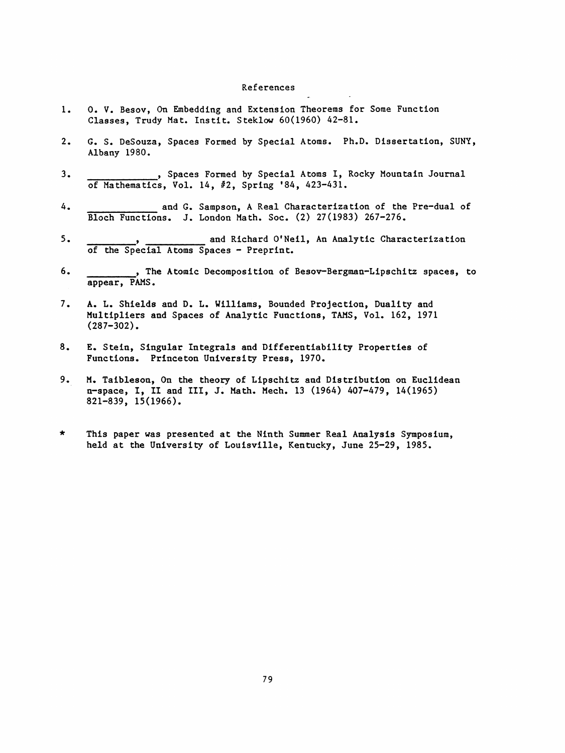## References

- 1. O. V. Besov, On Embedding and Extension Theorems for Some Function Classes, Trudy Mat. Instit. Steklow 60(1960) 42-81.
- 2. G. S. DeSouza, Spaces Formed by Special Atoms. Ph.D. Dissertation, SUNY, Albany 1980.
- , Spaces Formed by Special Atoms I, Rocky Mountain Journal 3. of Mathematics, Vol. 14, #2, Spring '84, 423-431.
- 4. and G. Sampson, A Real Characterization of the Pre-dual of Bloch Functions. J. London Math. Soc. (2) 27(1983) 267-276.
- 5. and Richard O'Neil, An Analytic Characterization of the Special Atoms Spaces - Preprint.
- 6. , The Atomic Decomposition of Besov-Bergman-Lipschitz spaces, to appear, PAMS.
- 7. A. L. Shields and D. L. Williams, Bounded Projection, Duality and Multipliers and Spaces of Analytic Functions, TAMS, Vol. 162, 1971 (287-302).
- 8. E. Stein, Singular Integrals and Differentiability Properties of Functions. Princeton University Press, 1970.
- 9. M. Taibleson, On the theory of Lipschltz and Distribution on Euclidean n-space, I, II and III, J. Math. Mech. 13 (1964) 407-479, 14(1965) 821-839, 15(1966).
- \* This paper was presented at the Ninth Summer Real Analysis Symposium, held at the University of Louisville, Kentucky, June 25-29, 1985.